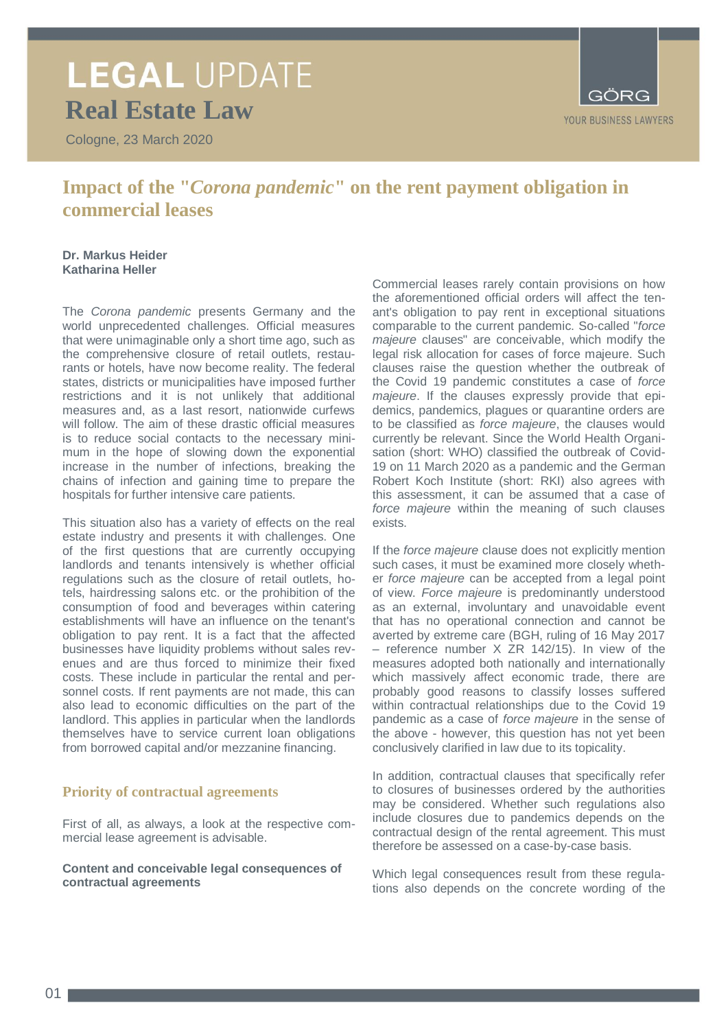### **LEGAL UPDATE Real Estate Law**

Cologne, 23 March 2020



### **Impact of the "***Corona pandemic***" on the rent payment obligation in commercial leases**

### **Dr. Markus Heider Katharina Heller**

The *Corona pandemic* presents Germany and the world unprecedented challenges. Official measures that were unimaginable only a short time ago, such as the comprehensive closure of retail outlets, restaurants or hotels, have now become reality. The federal states, districts or municipalities have imposed further restrictions and it is not unlikely that additional measures and, as a last resort, nationwide curfews will follow. The aim of these drastic official measures is to reduce social contacts to the necessary minimum in the hope of slowing down the exponential increase in the number of infections, breaking the chains of infection and gaining time to prepare the hospitals for further intensive care patients.

This situation also has a variety of effects on the real estate industry and presents it with challenges. One of the first questions that are currently occupying landlords and tenants intensively is whether official regulations such as the closure of retail outlets, hotels, hairdressing salons etc. or the prohibition of the consumption of food and beverages within catering establishments will have an influence on the tenant's obligation to pay rent. It is a fact that the affected businesses have liquidity problems without sales revenues and are thus forced to minimize their fixed costs. These include in particular the rental and personnel costs. If rent payments are not made, this can also lead to economic difficulties on the part of the landlord. This applies in particular when the landlords themselves have to service current loan obligations from borrowed capital and/or mezzanine financing.

### **Priority of contractual agreements**

First of all, as always, a look at the respective commercial lease agreement is advisable.

**Content and conceivable legal consequences of contractual agreements**

Commercial leases rarely contain provisions on how the aforementioned official orders will affect the tenant's obligation to pay rent in exceptional situations comparable to the current pandemic. So-called "*force majeure* clauses" are conceivable, which modify the legal risk allocation for cases of force majeure. Such clauses raise the question whether the outbreak of the Covid 19 pandemic constitutes a case of *force majeure*. If the clauses expressly provide that epidemics, pandemics, plagues or quarantine orders are to be classified as *force majeure*, the clauses would currently be relevant. Since the World Health Organisation (short: WHO) classified the outbreak of Covid-19 on 11 March 2020 as a pandemic and the German Robert Koch Institute (short: RKI) also agrees with this assessment, it can be assumed that a case of *force majeure* within the meaning of such clauses exists.

If the *force majeure* clause does not explicitly mention such cases, it must be examined more closely whether *force majeure* can be accepted from a legal point of view. *Force majeure* is predominantly understood as an external, involuntary and unavoidable event that has no operational connection and cannot be averted by extreme care (BGH, ruling of 16 May 2017 – reference number X ZR 142/15). In view of the measures adopted both nationally and internationally which massively affect economic trade, there are probably good reasons to classify losses suffered within contractual relationships due to the Covid 19 pandemic as a case of *force majeure* in the sense of the above - however, this question has not yet been conclusively clarified in law due to its topicality.

In addition, contractual clauses that specifically refer to closures of businesses ordered by the authorities may be considered. Whether such regulations also include closures due to pandemics depends on the contractual design of the rental agreement. This must therefore be assessed on a case-by-case basis.

Which legal consequences result from these regulations also depends on the concrete wording of the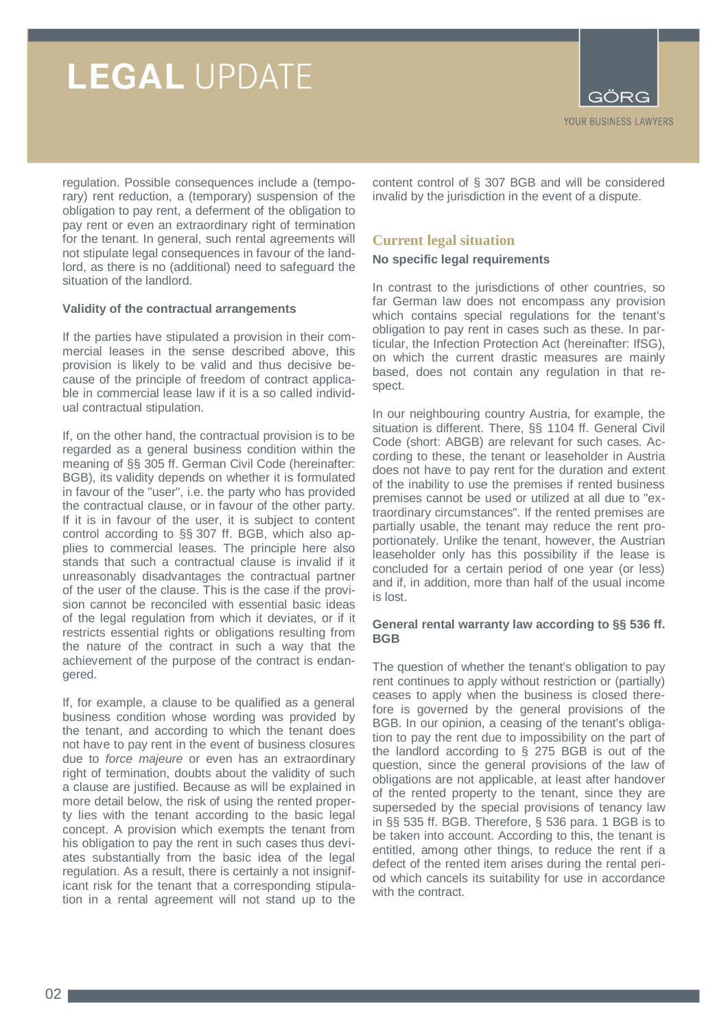

regulation. Possible consequences include a (temporary) rent reduction, a (temporary) suspension of the obligation to pay rent, a deferment of the obligation to pay rent or even an extraordinary right of termination for the tenant. In general, such rental agreements will not stipulate legal consequences in favour of the landlord, as there is no (additional) need to safeguard the situation of the landlord.

### **Validity of the contractual arrangements**

If the parties have stipulated a provision in their commercial leases in the sense described above, this provision is likely to be valid and thus decisive because of the principle of freedom of contract applicable in commercial lease law if it is a so called individual contractual stipulation.

If, on the other hand, the contractual provision is to be regarded as a general business condition within the meaning of §§ 305 ff. German Civil Code (hereinafter: BGB), its validity depends on whether it is formulated in favour of the "user", i.e. the party who has provided the contractual clause, or in favour of the other party. If it is in favour of the user, it is subject to content control according to §§ 307 ff. BGB, which also applies to commercial leases. The principle here also stands that such a contractual clause is invalid if it unreasonably disadvantages the contractual partner of the user of the clause. This is the case if the provision cannot be reconciled with essential basic ideas of the legal regulation from which it deviates, or if it restricts essential rights or obligations resulting from the nature of the contract in such a way that the achievement of the purpose of the contract is endangered.

If, for example, a clause to be qualified as a general business condition whose wording was provided by the tenant, and according to which the tenant does not have to pay rent in the event of business closures due to *force majeure* or even has an extraordinary right of termination, doubts about the validity of such a clause are justified. Because as will be explained in more detail below, the risk of using the rented property lies with the tenant according to the basic legal concept. A provision which exempts the tenant from his obligation to pay the rent in such cases thus deviates substantially from the basic idea of the legal regulation. As a result, there is certainly a not insignificant risk for the tenant that a corresponding stipulation in a rental agreement will not stand up to the

content control of § 307 BGB and will be considered invalid by the jurisdiction in the event of a dispute.

### **Current legal situation**

#### **No specific legal requirements**

In contrast to the jurisdictions of other countries, so far German law does not encompass any provision which contains special regulations for the tenant's obligation to pay rent in cases such as these. In particular, the Infection Protection Act (hereinafter: IfSG), on which the current drastic measures are mainly based, does not contain any regulation in that respect.

In our neighbouring country Austria, for example, the situation is different. There, §§ 1104 ff. General Civil Code (short: ABGB) are relevant for such cases. According to these, the tenant or leaseholder in Austria does not have to pay rent for the duration and extent of the inability to use the premises if rented business premises cannot be used or utilized at all due to "extraordinary circumstances". If the rented premises are partially usable, the tenant may reduce the rent proportionately. Unlike the tenant, however, the Austrian leaseholder only has this possibility if the lease is concluded for a certain period of one year (or less) and if, in addition, more than half of the usual income is lost.

#### **General rental warranty law according to §§ 536 ff. BGB**

The question of whether the tenant's obligation to pay rent continues to apply without restriction or (partially) ceases to apply when the business is closed therefore is governed by the general provisions of the BGB. In our opinion, a ceasing of the tenant's obligation to pay the rent due to impossibility on the part of the landlord according to § 275 BGB is out of the question, since the general provisions of the law of obligations are not applicable, at least after handover of the rented property to the tenant, since they are superseded by the special provisions of tenancy law in §§ 535 ff. BGB. Therefore, § 536 para. 1 BGB is to be taken into account. According to this, the tenant is entitled, among other things, to reduce the rent if a defect of the rented item arises during the rental period which cancels its suitability for use in accordance with the contract.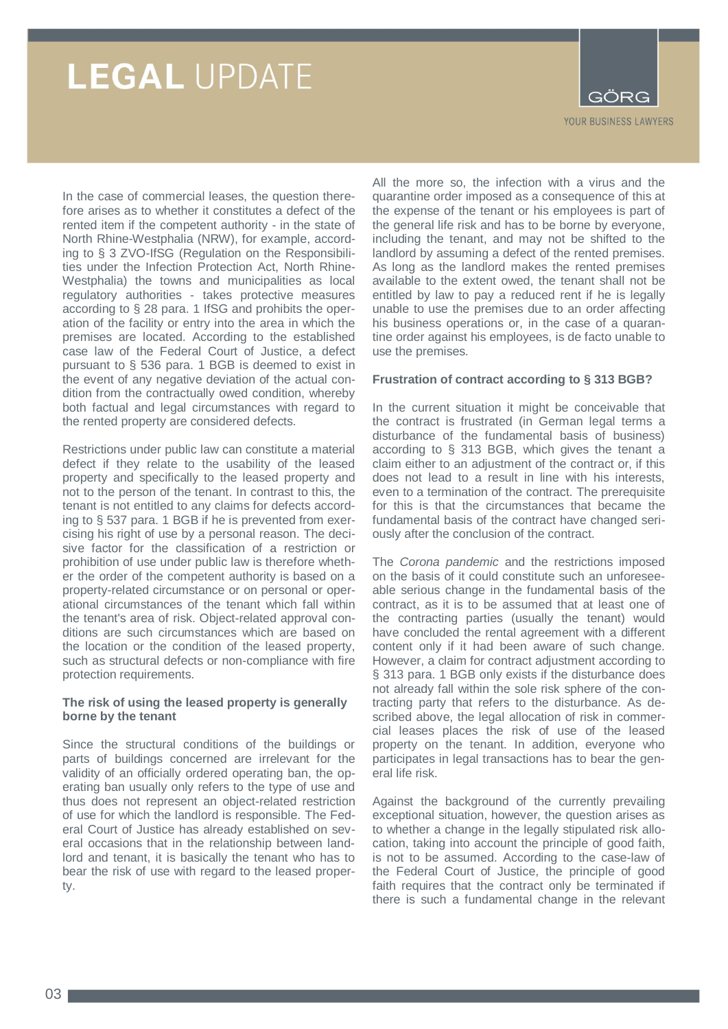

In the case of commercial leases, the question therefore arises as to whether it constitutes a defect of the rented item if the competent authority - in the state of North Rhine-Westphalia (NRW), for example, according to § 3 ZVO-IfSG (Regulation on the Responsibilities under the Infection Protection Act, North Rhine-Westphalia) the towns and municipalities as local regulatory authorities - takes protective measures according to § 28 para. 1 IfSG and prohibits the operation of the facility or entry into the area in which the premises are located. According to the established case law of the Federal Court of Justice, a defect pursuant to § 536 para. 1 BGB is deemed to exist in the event of any negative deviation of the actual condition from the contractually owed condition, whereby both factual and legal circumstances with regard to the rented property are considered defects.

Restrictions under public law can constitute a material defect if they relate to the usability of the leased property and specifically to the leased property and not to the person of the tenant. In contrast to this, the tenant is not entitled to any claims for defects according to § 537 para. 1 BGB if he is prevented from exercising his right of use by a personal reason. The decisive factor for the classification of a restriction or prohibition of use under public law is therefore whether the order of the competent authority is based on a property-related circumstance or on personal or operational circumstances of the tenant which fall within the tenant's area of risk. Object-related approval conditions are such circumstances which are based on the location or the condition of the leased property, such as structural defects or non-compliance with fire protection requirements.

### **The risk of using the leased property is generally borne by the tenant**

Since the structural conditions of the buildings or parts of buildings concerned are irrelevant for the validity of an officially ordered operating ban, the operating ban usually only refers to the type of use and thus does not represent an object-related restriction of use for which the landlord is responsible. The Federal Court of Justice has already established on several occasions that in the relationship between landlord and tenant, it is basically the tenant who has to bear the risk of use with regard to the leased property.

All the more so, the infection with a virus and the quarantine order imposed as a consequence of this at the expense of the tenant or his employees is part of the general life risk and has to be borne by everyone, including the tenant, and may not be shifted to the landlord by assuming a defect of the rented premises. As long as the landlord makes the rented premises available to the extent owed, the tenant shall not be entitled by law to pay a reduced rent if he is legally unable to use the premises due to an order affecting his business operations or, in the case of a quarantine order against his employees, is de facto unable to use the premises.

### **Frustration of contract according to § 313 BGB?**

In the current situation it might be conceivable that the contract is frustrated (in German legal terms a disturbance of the fundamental basis of business) according to § 313 BGB, which gives the tenant a claim either to an adjustment of the contract or, if this does not lead to a result in line with his interests, even to a termination of the contract. The prerequisite for this is that the circumstances that became the fundamental basis of the contract have changed seriously after the conclusion of the contract.

The *Corona pandemic* and the restrictions imposed on the basis of it could constitute such an unforeseeable serious change in the fundamental basis of the contract, as it is to be assumed that at least one of the contracting parties (usually the tenant) would have concluded the rental agreement with a different content only if it had been aware of such change. However, a claim for contract adjustment according to § 313 para. 1 BGB only exists if the disturbance does not already fall within the sole risk sphere of the contracting party that refers to the disturbance. As described above, the legal allocation of risk in commercial leases places the risk of use of the leased property on the tenant. In addition, everyone who participates in legal transactions has to bear the general life risk.

Against the background of the currently prevailing exceptional situation, however, the question arises as to whether a change in the legally stipulated risk allocation, taking into account the principle of good faith, is not to be assumed. According to the case-law of the Federal Court of Justice, the principle of good faith requires that the contract only be terminated if there is such a fundamental change in the relevant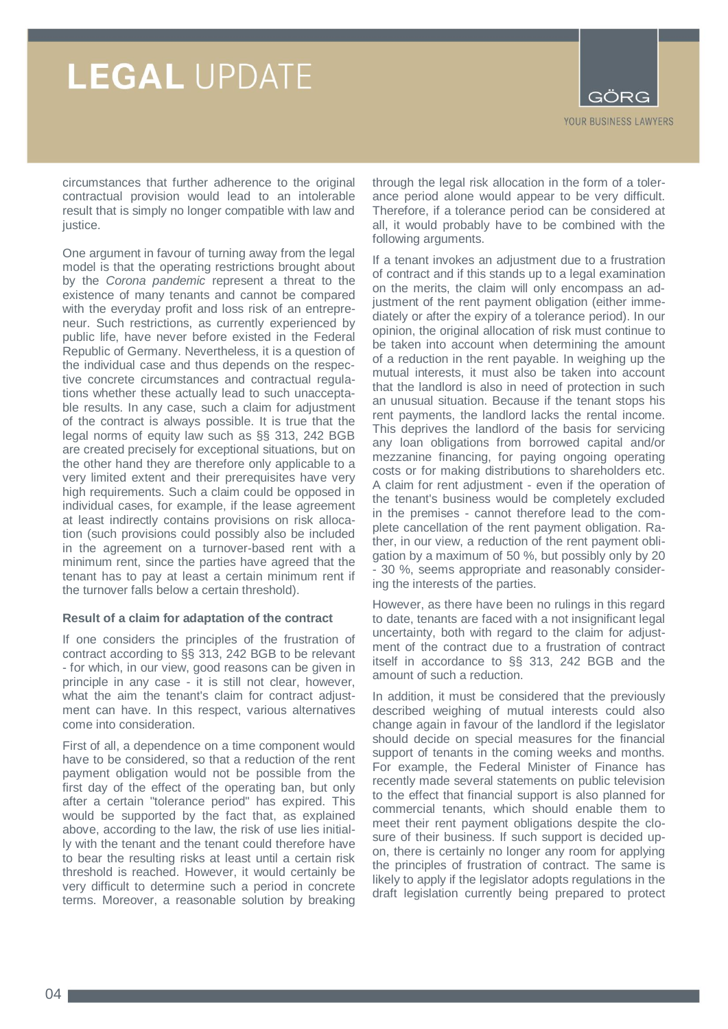

circumstances that further adherence to the original contractual provision would lead to an intolerable result that is simply no longer compatible with law and justice.

One argument in favour of turning away from the legal model is that the operating restrictions brought about by the *Corona pandemic* represent a threat to the existence of many tenants and cannot be compared with the everyday profit and loss risk of an entrepreneur. Such restrictions, as currently experienced by public life, have never before existed in the Federal Republic of Germany. Nevertheless, it is a question of the individual case and thus depends on the respective concrete circumstances and contractual regulations whether these actually lead to such unacceptable results. In any case, such a claim for adjustment of the contract is always possible. It is true that the legal norms of equity law such as §§ 313, 242 BGB are created precisely for exceptional situations, but on the other hand they are therefore only applicable to a very limited extent and their prerequisites have very high requirements. Such a claim could be opposed in individual cases, for example, if the lease agreement at least indirectly contains provisions on risk allocation (such provisions could possibly also be included in the agreement on a turnover-based rent with a minimum rent, since the parties have agreed that the tenant has to pay at least a certain minimum rent if the turnover falls below a certain threshold).

#### **Result of a claim for adaptation of the contract**

If one considers the principles of the frustration of contract according to §§ 313, 242 BGB to be relevant - for which, in our view, good reasons can be given in principle in any case - it is still not clear, however, what the aim the tenant's claim for contract adjustment can have. In this respect, various alternatives come into consideration.

First of all, a dependence on a time component would have to be considered, so that a reduction of the rent payment obligation would not be possible from the first day of the effect of the operating ban, but only after a certain "tolerance period" has expired. This would be supported by the fact that, as explained above, according to the law, the risk of use lies initially with the tenant and the tenant could therefore have to bear the resulting risks at least until a certain risk threshold is reached. However, it would certainly be very difficult to determine such a period in concrete terms. Moreover, a reasonable solution by breaking

through the legal risk allocation in the form of a tolerance period alone would appear to be very difficult. Therefore, if a tolerance period can be considered at all, it would probably have to be combined with the following arguments.

If a tenant invokes an adjustment due to a frustration of contract and if this stands up to a legal examination on the merits, the claim will only encompass an adjustment of the rent payment obligation (either immediately or after the expiry of a tolerance period). In our opinion, the original allocation of risk must continue to be taken into account when determining the amount of a reduction in the rent payable. In weighing up the mutual interests, it must also be taken into account that the landlord is also in need of protection in such an unusual situation. Because if the tenant stops his rent payments, the landlord lacks the rental income. This deprives the landlord of the basis for servicing any loan obligations from borrowed capital and/or mezzanine financing, for paying ongoing operating costs or for making distributions to shareholders etc. A claim for rent adjustment - even if the operation of the tenant's business would be completely excluded in the premises - cannot therefore lead to the complete cancellation of the rent payment obligation. Rather, in our view, a reduction of the rent payment obligation by a maximum of 50 %, but possibly only by 20 - 30 %, seems appropriate and reasonably considering the interests of the parties.

However, as there have been no rulings in this regard to date, tenants are faced with a not insignificant legal uncertainty, both with regard to the claim for adjustment of the contract due to a frustration of contract itself in accordance to §§ 313, 242 BGB and the amount of such a reduction.

In addition, it must be considered that the previously described weighing of mutual interests could also change again in favour of the landlord if the legislator should decide on special measures for the financial support of tenants in the coming weeks and months. For example, the Federal Minister of Finance has recently made several statements on public television to the effect that financial support is also planned for commercial tenants, which should enable them to meet their rent payment obligations despite the closure of their business. If such support is decided upon, there is certainly no longer any room for applying the principles of frustration of contract. The same is likely to apply if the legislator adopts regulations in the draft legislation currently being prepared to protect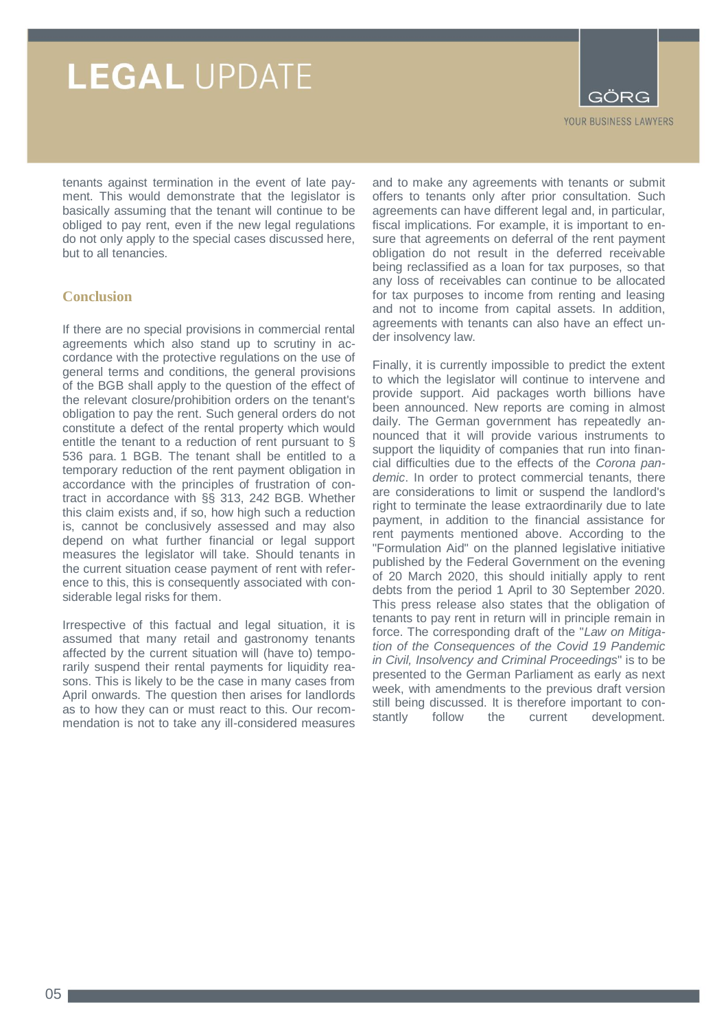

tenants against termination in the event of late payment. This would demonstrate that the legislator is basically assuming that the tenant will continue to be obliged to pay rent, even if the new legal regulations do not only apply to the special cases discussed here, but to all tenancies.

### **Conclusion**

If there are no special provisions in commercial rental agreements which also stand up to scrutiny in accordance with the protective regulations on the use of general terms and conditions, the general provisions of the BGB shall apply to the question of the effect of the relevant closure/prohibition orders on the tenant's obligation to pay the rent. Such general orders do not constitute a defect of the rental property which would entitle the tenant to a reduction of rent pursuant to § 536 para. 1 BGB. The tenant shall be entitled to a temporary reduction of the rent payment obligation in accordance with the principles of frustration of contract in accordance with §§ 313, 242 BGB. Whether this claim exists and, if so, how high such a reduction is, cannot be conclusively assessed and may also depend on what further financial or legal support measures the legislator will take. Should tenants in the current situation cease payment of rent with reference to this, this is consequently associated with considerable legal risks for them.

Irrespective of this factual and legal situation, it is assumed that many retail and gastronomy tenants affected by the current situation will (have to) temporarily suspend their rental payments for liquidity reasons. This is likely to be the case in many cases from April onwards. The question then arises for landlords as to how they can or must react to this. Our recommendation is not to take any ill-considered measures

and to make any agreements with tenants or submit offers to tenants only after prior consultation. Such agreements can have different legal and, in particular, fiscal implications. For example, it is important to ensure that agreements on deferral of the rent payment obligation do not result in the deferred receivable being reclassified as a loan for tax purposes, so that any loss of receivables can continue to be allocated for tax purposes to income from renting and leasing and not to income from capital assets. In addition, agreements with tenants can also have an effect under insolvency law.

Finally, it is currently impossible to predict the extent to which the legislator will continue to intervene and provide support. Aid packages worth billions have been announced. New reports are coming in almost daily. The German government has repeatedly announced that it will provide various instruments to support the liquidity of companies that run into financial difficulties due to the effects of the *Corona pandemic*. In order to protect commercial tenants, there are considerations to limit or suspend the landlord's right to terminate the lease extraordinarily due to late payment, in addition to the financial assistance for rent payments mentioned above. According to the "Formulation Aid" on the planned legislative initiative published by the Federal Government on the evening of 20 March 2020, this should initially apply to rent debts from the period 1 April to 30 September 2020. This press release also states that the obligation of tenants to pay rent in return will in principle remain in force. The corresponding draft of the "*Law on Mitigation of the Consequences of the Covid 19 Pandemic in Civil, Insolvency and Criminal Proceedings*" is to be presented to the German Parliament as early as next week, with amendments to the previous draft version still being discussed. It is therefore important to constantly follow the current development.